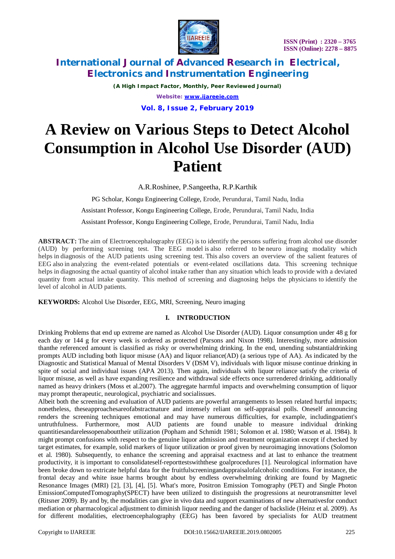

*(A High Impact Factor, Monthly, Peer Reviewed Journal) Website: [www.ijareeie.com](http://www.ijareeie.com)*

**Vol. 8, Issue 2, February 2019**

# **A Review on Various Steps to Detect Alcohol Consumption in Alcohol Use Disorder (AUD) Patient**

A.R.Roshinee, P.Sangeetha, R.P.Karthik

PG Scholar, Kongu Engineering College, Erode, Perundurai, Tamil Nadu, India Assistant Professor, Kongu Engineering College, Erode, Perundurai, Tamil Nadu, India Assistant Professor, Kongu Engineering College, Erode, Perundurai, Tamil Nadu, India

**ABSTRACT:** The aim of Electroencephalography (EEG) is to identify the persons suffering from alcohol use disorder (AUD) by performing screening test. The EEG model is also referred to be neuro imaging modality which helps in diagnosis of the AUD patients using screening test. This also covers an overview of the salient features of EEG also in analyzing the event-related potentials or event-related oscillations data. This screening technique helps in diagnosing the actual quantity of alcohol intake rather than any situation which leads to provide with a deviated quantity from actual intake quantity. This method of screening and diagnosing helps the physicians to identify the level of alcohol in AUD patients.

**KEYWORDS:** Alcohol Use Disorder, EEG, MRI, Screening, Neuro imaging

### **I. INTRODUCTION**

Drinking Problems that end up extreme are named as Alcohol Use Disorder (AUD). Liquor consumption under 48 g for each day or 144 g for every week is ordered as protected (Parsons and Nixon 1998). Interestingly, more admission thanthe referenced amount is classified as risky or overwhelming drinking. In the end, unending substantialdrinking prompts AUD including both liquor misuse (AA) and liquor reliance(AD) (a serious type of AA). As indicated by the Diagnostic and Statistical Manual of Mental Disorders V (DSM V), individuals with liquor misuse continue drinking in spite of social and individual issues (APA 2013). Then again, individuals with liquor reliance satisfy the criteria of liquor misuse, as well as have expanding resilience and withdrawal side effects once surrendered drinking, additionally named as heavy drinkers (Moss et al.2007). The aggregate harmful impacts and overwhelming consumption of liquor may prompt therapeutic, neurological, psychiatric and socialissues.

Albeit both the screening and evaluation of AUD patients are powerful arrangements to lessen related hurtful impacts; nonetheless, theseapproachesareofabstractnature and intensely reliant on self-appraisal polls. Oneself announcing renders the screening techniques emotional and may have numerous difficulties, for example, includingpatient's untruthfulness. Furthermore, most AUD patients are found unable to measure individual drinking quantitiesandarelessopenabouttheir utilization (Popham and Schmidt 1981; Solomon et al. 1980; Watson et al. 1984). It might prompt confusions with respect to the genuine liquor admission and treatment organization except if checked by target estimates, for example, solid markers of liquor utilization or proof given by neuroimaging innovations (Solomon et al. 1980). Subsequently, to enhance the screening and appraisal exactness and at last to enhance the treatment productivity, it is important to consolidateself-reporttestswiththese goalprocedures [1]. Neurological information have been broke down to extricate helpful data for the fruitfulscreeningandappraisalofalcoholic conditions. For instance, the frontal decay and white issue harms brought about by endless overwhelming drinking are found by Magnetic Resonance Images (MRI) [2], [3], [4], [5]. What's more, Positron Emission Tomography (PET) and Single Photon EmissionComputedTomography(SPECT) have been utilized to distinguish the progressions at neurotransmitter level (Ritsner 2009). By and by, the modalities can give in vivo data and support examinations of new alternativesfor conduct mediation or pharmacological adjustment to diminish liquor needing and the danger of backslide (Heinz et al. 2009). As for different modalities, electroencephalography (EEG) has been favored by specialists for AUD treatment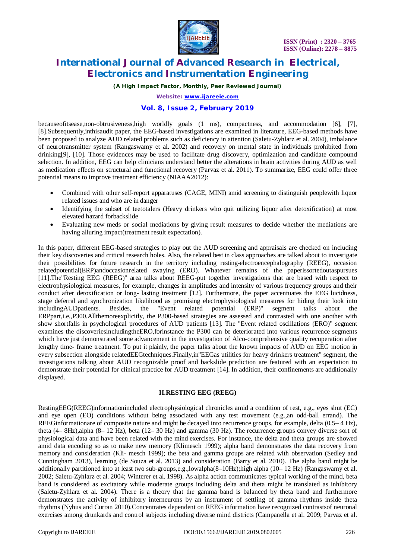

*(A High Impact Factor, Monthly, Peer Reviewed Journal)*

*Website: [www.ijareeie.com](http://www.ijareeie.com)*

### **Vol. 8, Issue 2, February 2019**

becauseofitsease,non-obtrusiveness,high worldly goals (1 ms), compactness, and accommodation [6], [7], [8].Subsequently,inthisaudit paper, the EEG-based investigations are examined in literature, EEG-based methods have been proposed to analyze AUD related problems such as deficiency in attention (Saletu-Zyhlarz et al. 2004), imbalance of neurotransmitter system (Rangaswamy et al. 2002) and recovery on mental state in individuals prohibited from drinking[9], [10]. Those evidences may be used to facilitate drug discovery, optimization and candidate compound selection. In addition, EEG can help clinicians understand better the alterations in brain activities during AUD as well as medication effects on structural and functional recovery (Parvaz et al. 2011). To summarize, EEG could offer three potential means to improve treatment efficiency (NIAAA2012):

- Combined with other self-report apparatuses (CAGE, MINI) amid screening to distinguish peoplewith liquor related issues and who are in danger
- Identifying the subset of teetotalers (Heavy drinkers who quit utilizing liquor after detoxification) at most elevated hazard forbackslide
- Evaluating new meds or social mediations by giving result measures to decide whether the mediations are having alluring impact(treatment result expectation).

In this paper, different EEG-based strategies to play out the AUD screening and appraisals are checked on including their key discoveries and critical research holes. Also, the related best in class approaches are talked about to investigate their possibilities for future research in the territory including resting-electroencephalography (REEG), occasion relatedpotential(ERP)andoccasionrelated swaying (ERO). Whatever remains of the paperissortedoutaspursues [11].The''Resting EEG (REEG)'' area talks about REEG-put together investigations that are based with respect to electrophysiological measures, for example, changes in amplitudes and intensity of various frequency groups and their conduct after detoxification or long- lasting treatment [12]. Furthermore, the paper accentuates the EEG lucidness, stage deferral and synchronization likelihood as promising electrophysiological measures for hiding their look into including AUD patients. Besides, the "Event related potential (ERP)" segment talks about the the ''Event related potential (ERP)'' segment talks about the ERPpart,i.e.,P300.Allthemoreexplicitly, the P300-based strategies are assessed and contrasted with one another with show shortfalls in psychological procedures of AUD patients [13]. The ''Event related oscillations (ERO)'' segment examines the discoveriesincludingtheERO,forinstance the P300 can be deteriorated into various recurrence segments which have just demonstrated some advancement in the investigation of Alco-comprehensive quality recuperation after lengthy time- frame treatment. To put it plainly, the paper talks about the known impacts of AUD on EEG motion in every subsection alongside relatedEEGtechniques.Finally,in''EEGas utilities for heavy drinkers treatment'' segment, the investigations talking about AUD recognizable proof and backslide prediction are featured with an expectation to demonstrate their potential for clinical practice for AUD treatment [14]. In addition, their confinements are additionally displayed.

### **II.RESTING EEG (REEG)**

RestingEEG(REEG)informationincluded electrophysiological chronicles amid a condition of rest, e.g., eyes shut (EC) and eye open (EO) conditions without being associated with any test movement (e.g.,an odd-ball errand). The REEGinformationare of composite nature and might be decayed into recurrence groups, for example, delta (0.5– 4 Hz), theta (4– 8Hz),alpha (8– 12 Hz), beta (12– 30 Hz) and gamma (30 Hz). The recurrence groups convey diverse sort of physiological data and have been related with the mind exercises. For instance, the delta and theta groups are showed amid data encoding so as to make new memory (Klimesch 1999); alpha band demonstrates the data recovery from memory and consideration (Kli- mesch 1999); the beta and gamma groups are related with observation (Sedley and Cunningham 2013), learning (de Souza et al. 2013) and consideration (Barry et al. 2010). The alpha band might be additionally partitioned into at least two sub-groups,e.g.,lowalpha(8–10Hz);high alpha (10– 12 Hz) (Rangaswamy et al. 2002; Saletu-Zyhlarz et al. 2004; Winterer et al. 1998). As alpha action communicates typical working of the mind, beta band is considered as excitatory while moderate groups including delta and theta might be translated as inhibitory (Saletu-Zyhlarz et al. 2004). There is a theory that the gamma band is balanced by theta band and furthermore demonstrates the activity of inhibitory interneurons by an instrument of settling of gamma rhythms inside theta rhythms (Nyhus and Curran 2010).Concentrates dependent on REEG information have recognized contrastsof neuronal exercises among drunkards and control subjects including diverse mind districts (Campanella et al. 2009; Parvaz et al.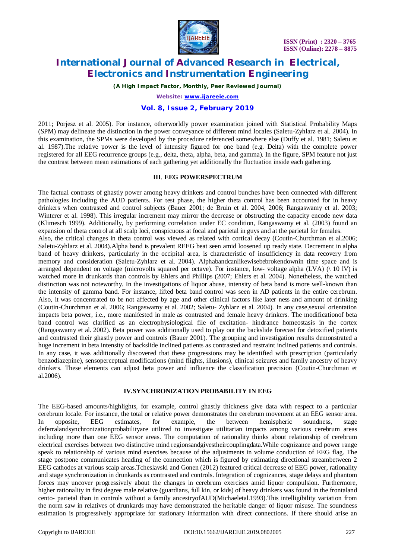

*(A High Impact Factor, Monthly, Peer Reviewed Journal)*

*Website: [www.ijareeie.com](http://www.ijareeie.com)*

### **Vol. 8, Issue 2, February 2019**

2011; Porjesz et al. 2005). For instance, otherworldly power examination joined with Statistical Probability Maps (SPM) may delineate the distinction in the power conveyance of different mind locales (Saletu-Zyhlarz et al. 2004). In this examination, the SPMs were developed by the procedure referenced somewhere else (Duffy et al. 1981; Saletu et al. 1987).The relative power is the level of intensity figured for one band (e.g. Delta) with the complete power registered for all EEG recurrence groups (e.g., delta, theta, alpha, beta, and gamma). In the figure, SPM feature not just the contrast between mean estimations of each gathering yet additionally the fluctuation inside each gathering.

### **III**. **EEG POWERSPECTRUM**

The factual contrasts of ghastly power among heavy drinkers and control bunches have been connected with different pathologies including the AUD patients. For test phase, the higher theta control has been accounted for in heavy drinkers when contrasted and control subjects (Bauer 2001; de Bruin et al. 2004, 2006; Rangaswamy et al. 2003; Winterer et al. 1998). This irregular increment may mirror the decrease or obstructing the capacity encode new data (Klimesch 1999). Additionally, by performing correlation under EC condition, Rangaswamy et al. (2003) found an expansion of theta control at all scalp loci, conspicuous at focal and parietal in guys and at the parietal for females. Also, the critical changes in theta control was viewed as related with cortical decay (Coutin-Churchman et al.2006; Saletu-Zyhlarz et al. 2004).Alpha band is prevalent REEG beat seen amid loosened up ready state. Decrement in alpha band of heavy drinkers, particularly in the occipital area, is characteristic of insufficiency in data recovery from memory and consideration (Saletu-Zyhlarz et al. 2004). Alphabandcanlikewisebebrokendownin time space and is arranged dependent on voltage (microvolts squared per octave). For instance, low- voltage alpha (LVA) (\ 10 lV) is watched more in drunkards than controls by Ehlers and Phillips (2007; Ehlers et al. 2004). Nonetheless, the watched distinction was not noteworthy. In the investigations of liquor abuse, intensity of beta band is more well-known than the intensity of gamma band. For instance, lifted beta band control was seen in AD patients in the entire cerebrum. Also, it was concentrated to be not affected by age and other clinical factors like later ness and amount of drinking (Coutin-Churchman et al. 2006; Rangaswamy et al. 2002; Saletu- Zyhlarz et al. 2004). In any case,sexual orientation impacts beta power, i.e., more manifested in male as contrasted and female heavy drinkers. The modificationof beta band control was clarified as an electrophysiological file of excitation- hindrance homeostasis in the cortex (Rangaswamy et al. 2002). Beta power was additionally used to play out the backslide forecast for detoxified patients and contrasted their ghastly power and controls (Bauer 2001). The grouping and investigation results demonstrated a huge increment in beta intensity of backslide inclined patients as contrasted and restraint inclined patients and controls. In any case, it was additionally discovered that these progressions may be identified with prescription (particularly benzodiazepine), sensoperceptual modifications (mind flights, illusions), clinical seizures and family ancestry of heavy drinkers. These elements can adjust beta power and influence the classification precision (Coutin-Churchman et al.2006).

### **IV.SYNCHRONIZATION PROBABILITY IN EEG**

The EEG-based amounts/highlights, for example, control ghastly thickness give data with respect to a particular cerebrum locale. For instance, the total or relative power demonstrates the cerebrum movement at an EEG sensor area. In opposite, EEG estimates, for example, the between hemispheric soundness, stage deferralandsynchronizationprobabilityare utilized to investigate utilitarian impacts among various cerebrum areas including more than one EEG sensor areas. The computation of rationality thinks about relationship of cerebrum electrical exercises between two distinctive mind regionsandgivestheircouplingdata.While cognizance and power range speak to relationship of various mind exercises because of the adjustments in volume conduction of EEG flag. The stage postpone communicates heading of the connection which is figured by estimating directional streambetween 2 EEG cathodes at various scalp areas.Tcheslavski and Gonen (2012) featured critical decrease of EEG power, rationality and stage synchronization in drunkards as contrasted and controls. Integration of cognizances, stage delays and phantom forces may uncover progressively about the changes in cerebrum exercises amid liquor compulsion. Furthermore, higher rationality in first degree male relative (guardians, full kin, or kids) of heavy drinkers was found in the frontaland cento- parietal than in controls without a family ancestryofAUD(Michaeletal.1993).This intelligibility variation from the norm saw in relatives of drunkards may have demonstrated the heritable danger of liquor misuse. The soundness estimation is progressively appropriate for stationary information with direct connections. If there should arise an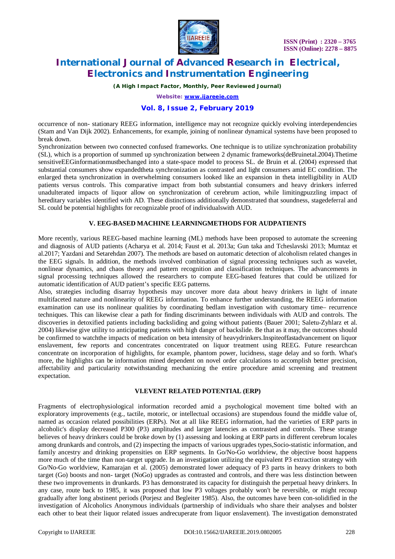

*(A High Impact Factor, Monthly, Peer Reviewed Journal)*

*Website: [www.ijareeie.com](http://www.ijareeie.com)*

### **Vol. 8, Issue 2, February 2019**

occurrence of non- stationary REEG information, intelligence may not recognize quickly evolving interdependencies (Stam and Van Dijk 2002). Enhancements, for example, joining of nonlinear dynamical systems have been proposed to break down.

Synchronization between two connected confused frameworks. One technique is to utilize synchronization probability (SL), which is a proportion of summed up synchronization between 2 dynamic frameworks(deBruinetal.2004).Thetime sensitiveEEGinformationmustbechanged into a state-space model to process SL. de Bruin et al. (2004) expressed that substantial consumers show expandedtheta synchronization as contrasted and light consumers amid EC condition. The enlarged theta synchronization in overwhelming consumers looked like an expansion in theta intelligibility in AUD patients versus controls. This comparative impact from both substantial consumers and heavy drinkers inferred unadulterated impacts of liquor allow on synchronization of cerebrum action, while limitingpuzzling impact of hereditary variables identified with AD. These distinctions additionally demonstrated that soundness, stagedeferral and SL could be potential highlights for recognizable proof of individualswith AUD.

### **V. EEG-BASED MACHINE LEARNINGMETHODS FOR AUDPATIENTS**

More recently, various REEG-based machine learning (ML) methods have been proposed to automate the screening and diagnosis of AUD patients (Acharya et al. 2014; Faust et al. 2013a; Gun taka and Tcheslavski 2013; Mumtaz et al.2017; Yazdani and Setarehdan 2007). The methods are based on automatic detection of alcoholism related changes in the EEG signals. In addition, the methods involved combination of signal processing techniques such as wavelet, nonlinear dynamics, and chaos theory and pattern recognition and classification techniques. The advancements in signal processing techniques allowed the researchers to compute EEG-based features that could be utilized for automatic identification of AUD patient's specific EEG patterns.

Also, strategies including disarray hypothesis may uncover more data about heavy drinkers in light of innate multifaceted nature and nonlinearity of REEG information. To enhance further understanding, the REEG information examination can use its nonlinear qualities by coordinating bedlam investigation with customary time– recurrence techniques. This can likewise clear a path for finding discriminants between individuals with AUD and controls. The discoveries in detoxified patients including backsliding and going without patients (Bauer 2001; Saletu-Zyhlarz et al. 2004) likewise give utility to anticipating patients with high danger of backslide. Be that as it may, the outcomes should be confirmed to watchthe impacts of medication on beta intensity of heavydrinkers.Inspiteoffastadvancement on liquor enslavement, few reports and concentrates concentrated on liquor treatment using REEG. Future researchcan concentrate on incorporation of highlights, for example, phantom power, lucidness, stage delay and so forth. What's more, the highlights can be information mined dependent on novel order calculations to accomplish better precision, affectability and particularity notwithstanding mechanizing the entire procedure amid screening and treatment expectation.

### **VI.EVENT RELATED POTENTIAL (ERP)**

Fragments of electrophysiological information recorded amid a psychological movement time bolted with an exploratory improvements (e.g., tactile, motoric, or intellectual occasions) are stupendous found the middle value of, named as occasion related possibilities (ERPs). Not at all like REEG information, had the varieties of ERP parts in alcoholic's display decreased P300 (P3) amplitudes and larger latencies as contrasted and controls. These strange believes of heavy drinkers could be broke down by (1) assessing and looking at ERP parts in different cerebrum locales among drunkards and controls, and (2) inspecting the impacts of various upgrades types,Socio-statistic information, and family ancestry and drinking propensities on ERP segments. In Go/No-Go worldview, the objective boost happens more much of the time than non-target upgrade. In an investigation utilizing the equivalent P3 extraction strategy with Go/No-Go worldview, Kamarajan et al. (2005) demonstrated lower adequacy of P3 parts in heavy drinkers to both target (Go) boosts and non- target (NoGo) upgrades as contrasted and controls, and there was less distinction between these two improvements in drunkards. P3 has demonstrated its capacity for distinguish the perpetual heavy drinkers. In any case, route back to 1985, it was proposed that low P3 voltages probably won't be reversible, or might recoup gradually after long abstinent periods (Porjesz and Begleiter 1985). Also, the outcomes have been con-solidified in the investigation of Alcoholics Anonymous individuals (partnership of individuals who share their analyses and bolster each other to beat their liquor related issues andrecuperate from liquor enslavement). The investigation demonstrated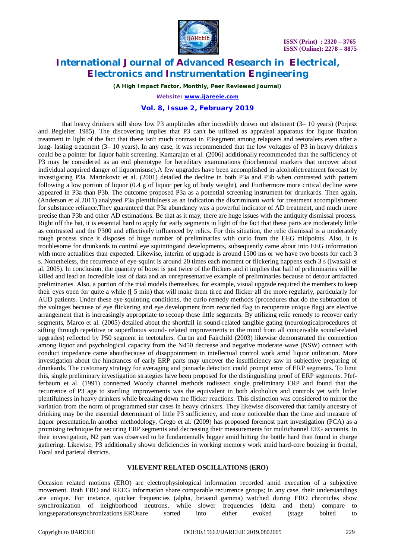

*(A High Impact Factor, Monthly, Peer Reviewed Journal)*

*Website: [www.ijareeie.com](http://www.ijareeie.com)*

### **Vol. 8, Issue 2, February 2019**

that heavy drinkers still show low P3 amplitudes after incredibly drawn out abstinent (3– 10 years) (Porjesz and Begleiter 1985). The discovering implies that P3 can't be utilized as appraisal apparatus for liquor fixation treatment in light of the fact that there isn't much contrast in P3segment among relapsers and teetotalers even after a long- lasting treatment (3– 10 years). In any case, it was recommended that the low voltages of P3 in heavy drinkers could be a pointer for liquor habit screening. Kamarajan et al. (2006) additionally recommended that the sufficiency of P3 may be considered as an end phenotype for hereditary examinations (biochemical markers that uncover about individual acquired danger of liquormisuse).A few upgrades have been accomplished in alcoholictreatment forecast by investigating P3a. Marinkovic et al. (2001) detailed the decline in both P3a and P3b when contrasted with pattern following a low portion of liquor (0.4 g of liquor per kg of body weight), and Furthermore more critical decline were appeared in P3a than P3b. The outcome proposed P3a as a potential screening instrument for drunkards. Then again, (Anderson et al.2011) analyzed P3a plentifulness as an indication the discriminant work for treatment accomplishment for substance reliance.They guaranteed that P3a abundancy was a powerful indicator of AD treatment, and much more precise than P3b and other AD estimations. Be that as it may, there are huge issues with the antiquity dismissal process. Right off the bat, it is essential hard to apply for early segments in light of the fact that these parts are moderately little as contrasted and the P300 and effectively influenced by relics. For this situation, the relic dismissal is a moderately rough process since it disposes of huge number of preliminaries with curio from the EEG midpoints. Also, it is troublesome for drunkards to control eye squintingand developments, subsequently came about into EEG information with more actualities than expected. Likewise, interim of upgrade is around 1500 ms or we have two boosts for each 3 s. Nonetheless, the recurrence of eye-squint is around 20 times each moment or flickering happens each 3 s (Iwasaki et al. 2005). In conclusion, the quantity of boost is just twice of the flickers and it implies that half of preliminaries will be killed and lead an incredible loss of data and an unrepresentative example of preliminaries because of detour artifacted preliminaries. Also, a portion of the trial models themselves, for example, visual upgrade required the members to keep their eyes open for quite a while ([ 5 min) that will make them tired and flicker all the more regularly, particularly for AUD patients. Under these eye-squinting conditions, the curio remedy methods (procedures that do the subtraction of the voltages because of eye flickering and eye development from recorded flag to recuperate unique flag) are elective arrangement that is increasingly appropriate to recoup those little segments. By utilizing relic remedy to recover early segments, Marco et al. (2005) detailed about the shortfall in sound-related tangible gating (neurologicalprocedures of sifting through repetitive or superfluous sound- related improvements in the mind from all conceivable sound-related upgrades) reflected by P50 segment in teetotalers. Curtin and Fairchild (2003) likewise demonstrated the connection among liquor and psychological capacity from the N450 decrease and negative moderate wave (NSW) connect with conduct impedance came aboutbecause of disappointment in intellectual control work amid liquor utilization. More investigation about the hindrances of early ERP parts may uncover the insufficiency saw in subjective preparing of drunkards. The customary strategy for averaging and pinnacle detection could prompt error of ERP segments. To limit this, single preliminary investigation strategies have been proposed for the distinguishing proof of ERP segments. Pfefferbaum et al. (1991) connected Woody channel methods todissect single preliminary ERP and found that the recurrence of P3 age to startling improvements was the equivalent in both alcoholics and controls yet with littler plentifulness in heavy drinkers while breaking down the flicker reactions. This distinction was considered to mirror the variation from the norm of programmed star cases in heavy drinkers. They likewise discovered that family ancestry of drinking may be the essential determinant of little P3 sufficiency, and more noticeable than the time and measure of liquor presentation.In another methodology, Crego et al. (2009) has proposed foremost part investigation (PCA) as a promising technique for securing ERP segments and decreasing their measurements for multichannel EEG accounts. In their investigation, N2 part was observed to be fundamentally bigger amid hitting the bottle hard than found in charge gathering. Likewise, P3 additionally shown deficiencies in working memory work amid hard-core boozing in frontal, Focal and parietal districts.

#### **VII.EVENT RELATED OSCILLATIONS (ERO)**

Occasion related motions (ERO) are electrophysiological information recorded amid execution of a subjective movement. Both ERO and REEG information share comparable recurrence groups; in any case, their understandings are unique. For instance, quicker frequencies (alpha, betaand gamma) watched during ERO chronicles show synchronization of neighborhood neutrons, while slower frequencies (delta and theta) compare to longseparationsynchronizations.EROsare sorted into either evoked (stage bolted to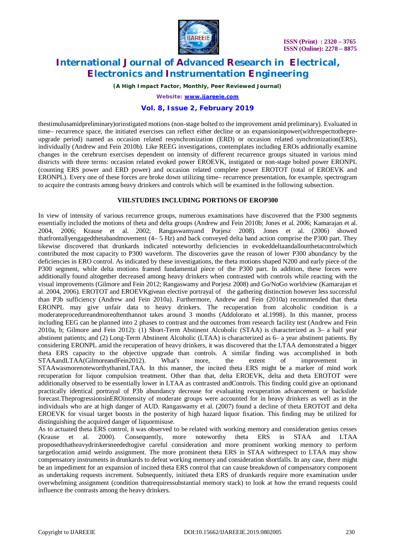

*(A High Impact Factor, Monthly, Peer Reviewed Journal)*

*Website: [www.ijareeie.com](http://www.ijareeie.com)*

### **Vol. 8, Issue 2, February 2019**

thestimulusamidpreliminary)orinstigated motions (non-stage bolted to the improvement amid preliminary). Evaluated in time– recurrence space, the initiated exercises can reflect either decline or an expansioninpower(withrespecttothepreupgrade period) named as occasion related resynchronization (ERD) or occasion related synchronization(ERS), individually (Andrew and Fein 2010b). Like REEG investigations, contemplates including EROs additionally examine changes in the cerebrum exercises dependent on intensity of different recurrence groups situated in various mind districts with three terms: occasion related evoked power EROEVK, instigated or non-stage bolted power ERONPL (counting ERS power and ERD power) and occasion related complete power EROTOT (total of EROEVK and ERONPL). Every one of these forces are broke down utilizing time– recurrence presentation, for example, spectrogram to acquire the contrasts among heavy drinkers and controls which will be examined in the following subsection.

### **VIII.STUDIES INCLUDING PORTIONS OF EROP300**

In view of intensity of various recurrence groups, numerous examinations have discovered that the P300 segments essentially included the motions of theta and delta groups (Andrew and Fein 2010b; Jones et al. 2006; Kamarajan et al. 2004, 2006; Krause et al. 2002; Rangaswamyand Porjesz 2008). Jones et al. (2006) showed thatfrontallyengagedthetabandmovement (4– 5 Hz) and back conveyed delta band action comprise the P300 part. They likewise discovered that drunkards indicated noteworthy deficiencies in evokeddeltaandalloutthetacontrolwhich contributed the most capacity to P300 waveform. The discoveries gave the reason of lower P300 abundancy by the deficiencies in ERO control. As indicated by these investigations, the theta motions shaped N200 and early piece of the P300 segment, while delta motions framed fundamental piece of the P300 part. In addition, these forces were additionally found altogether decreased among heavy drinkers when contrasted with controls while reacting with the visual improvements (Gilmore and Fein 2012; Rangaswamy and Porjesz 2008) and Go/NoGo worldview (Kamarajan et al. 2004, 2006). EROTOT and EROEVKgivean elective portrayal of the gathering distinction however less successful than P3b sufficiency (Andrew and Fein 2010a). Furthermore, Andrew and Fein (2010a) recommended that theta ERONPL may give unfair data to heavy drinkers. The recuperation from alcoholic condition is a moderateprocedureandmoreoftenthannot takes around 3 months (Addolorato et al.1998). In this manner, process including EEG can be planned into 2 phases to contrast and the outcomes from research facility test (Andrew and Fein 2010a, b; Gilmore and Fein 2012): (1) Short-Term Abstinent Alcoholic (STAA) is characterized as 3– a half year abstinent patients; and (2) Long-Term Abstinent Alcoholic (LTAA) is characterized as 6– a year abstinent patients. By considering ERONPL amid the recuperation of heavy drinkers, it was discovered that the LTAA demonstrated a bigger theta ERS capacity to the objective upgrade than controls. A similar finding was accomplished in both STAAandLTAA(GilmoreandFein2012). What's more, the extent of improvement in STAAwasmorenoteworthythaninLTAA. In this manner, the incited theta ERS might be a marker of mind work recuperation for liquor compulsion treatment. Other than that, delta EROEVK, delta and theta EROTOT were additionally observed to be essentially lower in LTAA as contrasted andControls. This finding could give an optionand practically identical portrayal of P3b abundancy decrease for evaluating recuperation advancement or backslide forecast.TheprogressionsinEROintensity of moderate groups were accounted for in heavy drinkers as well as in the individuals who are at high danger of AUD. Rangaswamy et al. (2007) found a decline of theta EROTOT and delta EROEVK for visual target boosts in the posterity of high hazard liquor fixation. This finding may be utilized for distinguishing the acquired danger of liquormisuse.

As to actuated theta ERS control, it was observed to be related with working memory and consideration genius cesses (Krause et al. 2000). Consequently, more noteworthy theta ERS in STAA and LTAA (Krause et al. 2000). Consequently, more noteworthy theta ERS in STAA and LTAA proposedthatheavydrinkersneededtogive careful consideration and more prominent working memory to perform targetlocation amid weirdo assignment. The more prominent theta ERS in STAA withrespect to LTAA may show compensatory instruments in drunkards to defeat working memory and consideration shortfalls. In any case, there might be an impediment for an expansion of incited theta ERS control that can cause breakdown of compensatory component as undertaking requests increment. Subsequently, initiated theta ERS of drunkards require more examination under overwhelming assignment (condition thatrequiressubstantial memory stack) to look at how the errand requests could influence the contrasts among the heavy drinkers.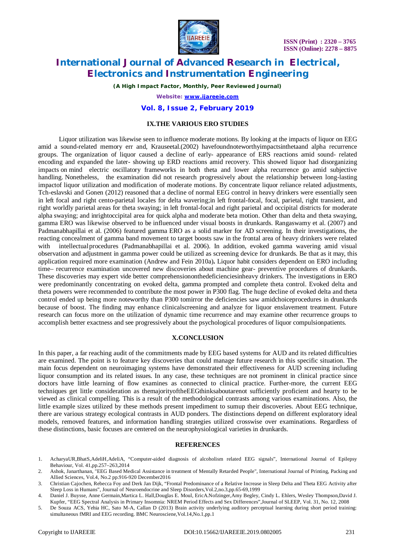



*(A High Impact Factor, Monthly, Peer Reviewed Journal)*

*Website: [www.ijareeie.com](http://www.ijareeie.com)*

#### **Vol. 8, Issue 2, February 2019**

### **IX.THE VARIOUS ERO STUDIES**

Liquor utilization was likewise seen to influence moderate motions. By looking at the impacts of liquor on EEG amid a sound-related memory err and, Krauseetal.(2002) havefoundnoteworthyimpactsinthetaand alpha recurrence groups. The organization of liquor caused a decline of early- appearance of ERS reactions amid sound- related encoding and expanded the later- showing up ERD reactions amid recovery. This showed liquor had disorganizing impacts on mind electric oscillatory frameworks in both theta and lower alpha recurrence go amid subjective handling. Nonetheless, the examination did not research progressively about the relationship between long-lasting impactof liquor utilization and modification of moderate motions. By concentrate liquor reliance related adjustments, Tch-eslavski and Gonen (2012) reasoned that a decline of normal EEG control in heavy drinkers were essentially seen in left focal and right cento-parietal locales for delta wavering;in left frontal-focal, focal, parietal, right transient, and right worldly parietal areas for theta swaying; in left frontal-focal and right parietal and occipital districts for moderate alpha swaying; and inrightoccipital area for quick alpha and moderate beta motion. Other than delta and theta swaying, gamma ERO was likewise observed to be influenced under visual boosts in drunkards. Rangaswamy et al. (2007) and Padmanabhapillai et al. (2006) featured gamma ERO as a solid marker for AD screening. In their investigations, the reacting concealment of gamma band movement to target boosts saw in the frontal area of heavy drinkers were related with intellectualprocedures (Padmanabhapillai et al. 2006). In addition, evoked gamma wavering amid visual observation and adjustment in gamma power could be utilized as screening device for drunkards. Be that as it may, this application required more examination (Andrew and Fein 2010a)**.** Liquor habit considers dependent on ERO including time– recurrence examination uncovered new discoveries about machine gear- preventive procedures of drunkards. These discoveries may expert vide better comprehensiononthedeficienciesinheavy drinkers. The investigations in ERO were predominantly concentrating on evoked delta, gamma prompted and complete theta control. Evoked delta and theta powers were recommended to contribute the most power in P300 flag. The huge decline of evoked delta and theta control ended up being more noteworthy than P300 tomirror the deficiencies saw amidchoiceprocedures in drunkards because of boost. The finding may enhance clinicalscreening and analyze for liquor enslavement treatment. Future research can focus more on the utilization of dynamic time recurrence and may examine other recurrence groups to accomplish better exactness and see progressively about the psychological procedures of liquor compulsionpatients.

#### **X.CONCLUSION**

In this paper, a far reaching audit of the commitments made by EEG based systems for AUD and its related difficulties are examined. The point is to feature key discoveries that could manage future research in this specific situation. The main focus dependent on neuroimaging systems have demonstrated their effectiveness for AUD screening including liquor consumption and its related issues. In any case, these techniques are not prominent in clinical practice since doctors have little learning of flow examines as connected to clinical practice. Further-more, the current EEG techniques get little consideration as themajorityoftheEEGthinksaboutarenot sufficiently proficient and hearty to be viewed as clinical compelling. This is a result of the methodological contrasts among various examinations. Also, the little example sizes utilized by these methods present impediment to sumup their discoveries. About EEG technique, there are various strategy ecological contrasts in AUD ponders. The distinctions depend on different exploratory ideal models, removed features, and information handling strategies utilized crosswise over examinations. Regardless of these distinctions, basic focuses are centered on the neurophysiological varieties in drunkards.

#### **REFERENCES**

- 1. AcharyaUR,BhatS,AdeliH,AdeliA, "Computer-aided diagnosis of alcoholism related EEG signals", International Journal of Epilepsy Behaviour, Vol. 41,pp.257–263,2014
- 2. Ashok, Janarthanan, "EEG Based Medical Assistance in treatment of Mentally Retarded People", International Journal of Printing, Packing and Allied Sciences, Vol.4, No.2 pp.916-920 December2016
- 3. Christian Cajochen, Rebecca Foy and Derk Jan Dijk, "Frontal Predominance of a Relative Increase in Sleep Delta and Theta EEG Activity after Sleep Loss in Humans", Journal of Neuroendocrine and Sleep Disorders,Vol.2,no.3,pp.65-69,1999
- 4. Daniel J. Buysse, Anne Germain,Martica L. Hall,Douglas E. Moul, EricA.Nofzinger,Amy Begley, Cindy L. Ehlers, Wesley Thompson,David J. Kupfer, "EEG Spectral Analysis in Primary Insomnia: NREM Period Effects and Sex Differences",Journal of SLEEP, Vol. 31, No. 12, 2008
- 5. De Souza ACS, Yehia HC, Sato M-A, Callan D (2013) Brain activity underlying auditory perceptual learning during short period training: simultaneous fMRI and EEG recording. BMC Neurosciene,Vol.14,No.1,pp.1